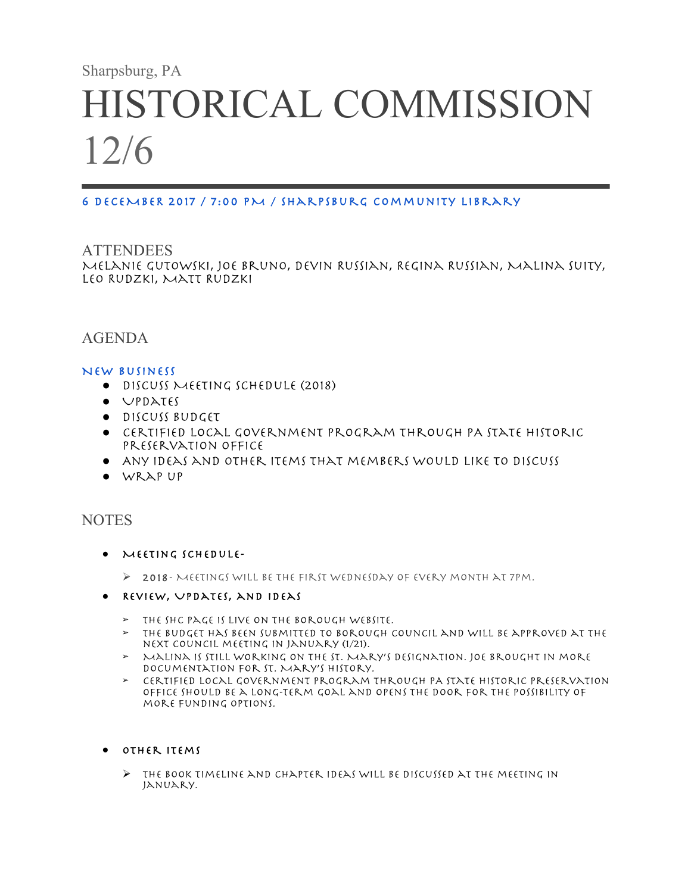# Sharpsburg, PA HISTORICAL COMMISSION 12/6

#### 6 DECEMBER 2017 / 7:00 PM / Sharpsburg Community Library

# **ATTENDEES** Melanie Gutowski, Joe Bruno, Devin Russian, Regina Russian, Malina Suity, Leo Rudzki, Matt Rudzki

# AGENDA

#### New Business

- Discuss Meeting Schedule (2018)
- Updates
- Discuss Budget
- Certified Local Government program through PA State Historic Preservation Office
- Any ideas and other items that members would like to discuss
- Wrap up

## **NOTES**

- Meeting Schedule-
	- $\triangleright$  2018- MEETINGS WILL BE THE FIRST WEDNESDAY OF EVERY MONTH AT 7PM.
- Review, Updates, and ideas
	- ➢ The SHC page is live on the Borough website.
	- ➢ The budget has been submitted to Borough Council and will be approved at the next Council meeting in January (1/21).
	- ➢ Malina is still working on the St. Mary's designation. Joe brought in more documentation for St. Mary's history.
	- ➢ Certified Local Government program through PA State Historic Preservation Office should be a long-term goal and opens the door for the possibility of more funding options.

#### ● Other Items

 $\triangleright$  THE BOOK TIMELINE AND CHAPTER IDEAS WILL BE DISCUSSED AT THE MEETING IN January.